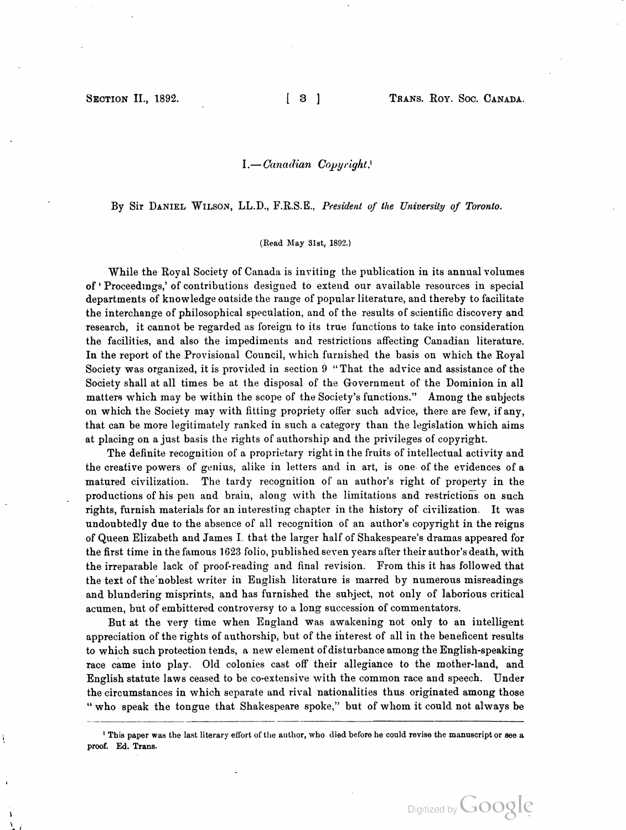### $I. - Canadian Copyright.$

By Sir DANIEL WILSON, LL.D., F.R.S.E., President of the University of Toronto.

#### ( Read May 31st, 1892. )

In the report of the Provisional Council, which furnished the basis on which the Royal While the Royal Society of Canada is inviting the publication in its annual volumes of · Proceedings, ' of contributions designed to extend our available resources in special departments of knowledge outside the range of popular literature, and thereby to facilitate the interchange of philosophical speculation, and of the results of scientific discovery and research, it cannot be regarded as foreign to its true functions to take into consideration the facilities, and also the impediments and restrictions affecting Canadian literature. Society was organized, it is provided in section 9 " That the advice and assistance of the Society shall at all times be at the disposal of the Government of the Dominion in all matters which may be within the scope of the Society's functions." Among the subjects on which the Society may with fitting propriety offer such advice, there are few, if any, that can be more legitimately ranked in such a category than the legislation which aims at placing on a just basis the rights of authorship and the privileges of copyright.

The definite recognition of a proprietary right in the fruits of intellectual activity and the creative powers of genius, alike in letters and in art, is one of the evidences of a matured civilization. The tardy recognition of an author's right of property in the productions of his pen and brain, along with the limitations and restrictions on such rights, furnish materials for an interesting chapter in the history of civilization . It was undoubtedly due to the absence of all recognition of an author's copyright in the reigns of Queen Elizabeth and James I. that the larger half of Shakespeare's dramas appeared for the first time in the famous 1623 folio, published seven years after their author's death, with the irreparable lack of proof- reading and final revision . From this it has followed that the text of the noblest writer in English literature is marred by numerous misreadings and blundering misprints, and has furnished the subject, not only of laborious critical acumen, but of embittered controversy to a long succession of commentators.

But at the very time when England was awakening not only to an intelligent appreciation of the rights of authorship, but of the interest of all in the beneficent results to which such protection tends, a new element of disturbance among the English-speaking race came into play. Old colonies cast off their allegiance to the mother-land, and English statute laws ceased to be co-extensive with the common race and speech. Under the circumstances in which separate and rival nationalities thus originated among those " who speak the tongue that Shakespeare spoke," but of whom it could not always be

<sup>&</sup>lt;sup>1</sup> This paper was the last literary effort of the author, who died before he could revise the manuscript or see a proof. Ed. Trans.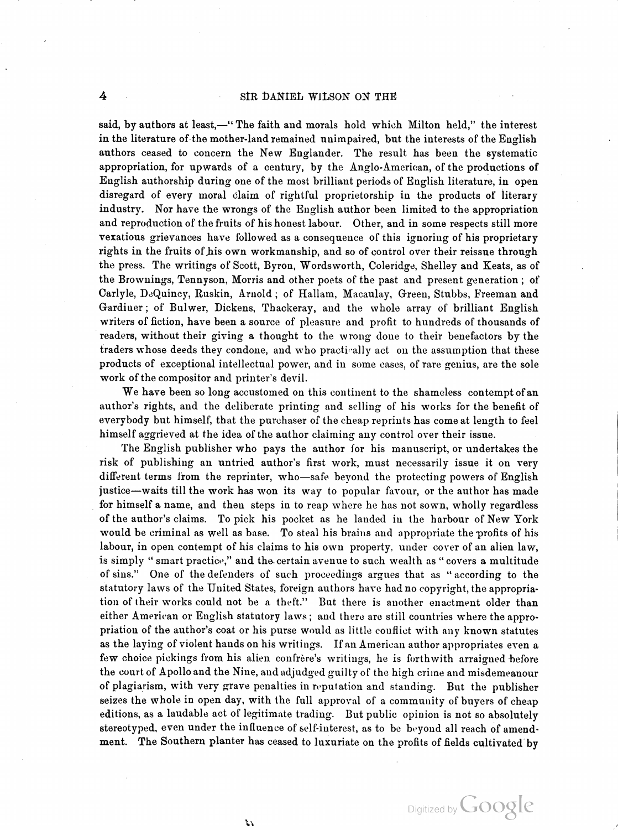4

said, by authors at least,—" The faith and morals hold which Milton held," the interest in the literature of the mother- land remained unimpaired, but the interests of the English authors ceased to concern the New Englander. The result has been the systematic appropriation, for upwards of a century, by the Anglo -American, of the productions of English authorship during one of the most brilliant periods of English literature, in open disregard of every moral claim of rightful proprietorship in the products of literary industry. Nor have the wrongs of the English author been limited to the appropriation and reproduction of the fruits of his honest labour. Other, and in some respects still more vexatious grievances have followed as a consequence of this ignoring of his proprietary rights in the fruits of his own workmanship, and so of control over their reissue through the press. The writings of Scott, Byron, Wordsworth, Coleridge, Shelley and Keats, as of the Brownings, Tennyson, Morris and other poets of the past and present generation ; of Carlyle, DeQuincy, Ruskin, Arnold ; of Hallam, Macaulay, Green, Stubbs, Freeman and Gardiner ; of Bulwer, Dickens, Thackeray, and the whole array of brilliant English writers of fiction, have been a source of pleasure and profit to hundreds of thousands of readers, without their giving a thought to the wrong done to their benefactors by the traders whose deeds they condone, and who practically act on the assumption that these products of exceptional intellectual power, and in some cases, of rare genius, are the sole work of the compositor and printer's devil.

We have been so long accustomed on this continent to the shameless contempt of an author's rights, and the deliberate printing and selling of his works for the benefit of everybody but himself, that the purchaser of the cheap reprints has come at length to feel himself aggrieved at the idea of the author claiming any control over their issue .

The English publisher who pays the author for his manuscript, or undertakes the risk of publishing an untried author's first work, must necessarily issue it on very different terms from the reprinter, who—safe beyond the protecting powers of English justice —waits till the work has won its way to popular favour, or the author has made for himself a name, and then steps in to reap where he has not sown, wholly regardless of the author's claims. To pick his pocket as he landed in the harbour of New York would be criminal as well as base. To steal his brains and appropriate the profits of his labour, in open contempt of his claims to his own property, under cover of an alien law, is simply " smart practice," and the certain avenue to such wealth as " covers a multitude of sins." One of the defenders of such proceedings argues that as "according to the statutory laws of the United States, foreign authors have had no copyright, the appropria tion of their works could not be a theft." But there is another enactment older than either American or English statutory laws ; and there are still countries where the appro priation of the author's coat or his purse would as little conflict with any known statutes as the laying of violent hands on his writings. If an American author appropriates even a few choice pickings from his alien confrère's writings, he is forth with arraigned before the court of Apollo and the Nine, and adjudged guilty of the high criine and misdemeanour of plagiarism, with very grave penalties in reputation and standing. But the publisher seizes the whole in open day, with the full approval of a community of buyers of cheap editions, as a laudable act of legitimate trading. But public opinion is not so absolutely stereotyped, even under the influence of self-interest, as to be beyond all reach of amendment. The Southern planter has ceased to luxuriate on the profits of fields cultivated by

 $\mathcal{V}$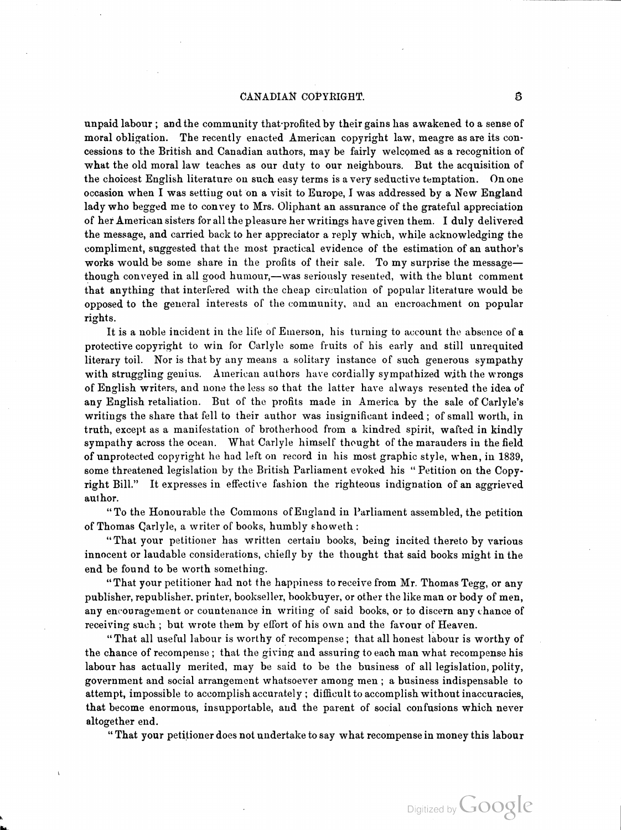though conveyed in all good humour,- was seriously resented, with the blunt comment unpaid labour ; and the community that profited by their gains has awakened to a sense of moral obligation. The recently enacted American copyright law, meagre as are its con cessions to the British and Canadian authors, may be fairly welcomed as a recognition of what the old moral law teaches as our duty to our neighbours. But the acquisition of the choicest English literature on such easy terms is a very seductive temptation. On one occasion when <sup>I</sup> was setting out on <sup>a</sup> visit to Europe, <sup>I</sup> was addressed by <sup>a</sup> New England lady who begged me to convey to Mrs. Oliphant an assurance of the grateful appreciation of her American sisters for all the pleasure her writings have given them. <sup>I</sup> duly delivered the message, and carried back to her appreciator a reply which, while acknowledging the compliment, suggested that the most practical evidence of the estimation of an author's works would be some share in the profits of their sale. To my surprise the messagethat anything that interfered with the cheap circulation of popular literature would be opposed to the general interests of the community, and an encroachment on popular rights.

It is a noble incident in the life of Emerson, his turning to account the absence of a protective copyright to win for Carlyle some fruits of his early and still unrequited literary toil. Nor is that by any means a solitary instance of such generous sympathy with struggling genius. American authors have cordially sympathized with the wrongs of English writers, and none the less so that the latter have always resented the idea of any English retaliation. But of the profits made in America by the sale of Carlyle's writings the share that fell to their author was insignificant indeed ; of small worth, in truth, except as a manifestation of brotherhood from a kindred spirit, wafted in kindly sympathy across the ocean. What Carlyle himself thought of the marauders in the field of unprotected copyright he had left on record in his most graphic style, when , in 1839, some threatened legislation by the British Parliament evoked his "Petition on the Copyright Bill." It expresses in effective fashion the righteous indignation of an aggrieved author.

" To the Honourable the Commons of England in Parliament assembled, the petition of Thomas Carlyle, a writer of books, humbly showeth :

"That your petitioner has written certain books, being incited thereto by various innocent or laudable considerations, chiefly by the thought that said books might in the end be found to be worth something.

"That your petitioner had not the happiness to receive from Mr. Thomas Tegg, or any publisher, republisher, printer, bookseller, hookbuyer, or other the like man or body of men, any encouragement or countenance in writing of said books, or to discern any chance of receiving such ; but wrote them by effort of his own and the favour of Heaven.

" That all useful labour is worthy of recompense ; that all honest labour is worthy of the chance of recompense ; that the giving and assuring to each man what recompense his labour has actually merited, may be said to be the business of all legislation, polity, government and social arrangement whatsoever among men ; a business indispensable to attempt, impossible to accomplish accurately ; difficult to accomplish without inaccuracies, that become enormous, insupportable, and the parent of social confusions which never altogether end.

" That your petitioner does not undertake to say what recompense in money this labour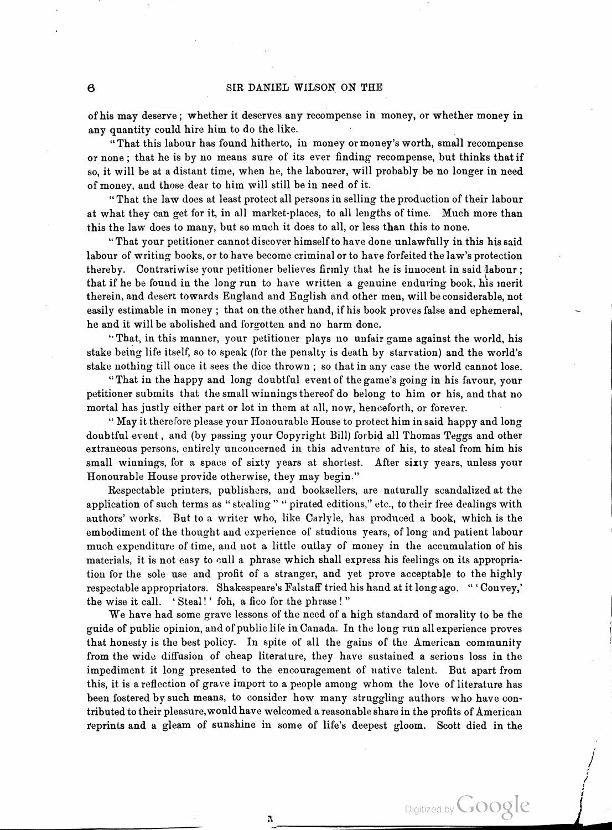of his may deserve; whether it deserves any recompense in money, or whether money in any quantity could hire him to do the like.

" That this labour has found hitherto, in money or money's worth, small recompense or none; that he is by no means sure of its ever finding recompense, but thinks that if so, it will be at <sup>a</sup> distant time, when he, the labourer, will probably be no longer in need of money, and those dear to him will still be in need of it .

" That the law does at least protect all persons in selling the production of their labour at what they can get for it, in all market- places, to all lengths of time. Much more than this the law does to many, but so much it does to all, or less than this to none.

That your petitioner cannot discover himself to have done unlawfully in this his said labour of writing books, or to have become criminal or to have forfeited the law's protection thereby. Contrariwise your petitioner believes firmly that he is innocent in said labour ; that if he be found in the long run to have written a genuine enduring book, his inerit therein, and desert towards England and English and other men, will be considerable, not easily estimable in money ; that on the other hand, if his book proves false and ephemeral, he and it will be abolished and forgotten and no harm done.

6 • That, in this manner, your petitioner plays no unfair game against the world, his stake being life itself, so to speak ( for the penalty is death by starvation) and the world's stake nothing till once it sees the dice thrown ; so that in any case the world cannot lose .

"That in the happy and long doubtful event of the game's going in his favour, your petitioner submits that the small winnings thereof do belong to him or his, and that no mortal has justly either part or lot in them at all , now, henceforth , or forever.

May it therefore please your Honourable House to protect him in said happy and long 66 doubtful event , and (by passing your Copyright Bill) forbid all Thomas Teggs and other extraneous persons, entirely unconcerned in this adventure of his, to steal from him his small winnings, for a space of sixty years at shortest. After sixty years, unless your Honourable House provide otherwise, they may begin ."

Respectable printers, publishers, and booksellers, are naturally scandalized at the  $\tt{application of such terms as ``stealing'' ``pirated editions," etc., to their free dealing with}$ authors' works. But to a writer who, like Carlyle, has produced a book, which is the embodiment of the thought and experience of studious years , of long and patient labour much expenditure of time, and not a little outlay of money in the accumulation of his materials, it is not easy to cull a phrase which shall express his feelings on its appropria tion for the sole use and profit of a stranger, and yet prove acceptable to the highly respectable appropriators. Shakespeare's Falstaff tried his hand at it long ago. "Convey," the wise it call. 'Steal!' foh, a fico for the phrase!'

We have had some grave lessons of the need of <sup>a</sup> high standard of morality to be the guide of public opinion, and of public life in Canada. In the long run all experience proves that honesty is the best policy. In spite of all the gains of the American community from the wide diffusion of cheap literature, they have sustained a serious loss in the impediment it long presented to the encouragement of native talent. But apart from this, it is a reflection of grave import to a people among whom the love of literature has been fostered by such means, to consider how many struggling authors who have con tributed to their pleasure, would have welcomed a reasonable share in the profits of American reprints and a gleam of sunshine in some of life's deepest gloom. Scott died in the

ñ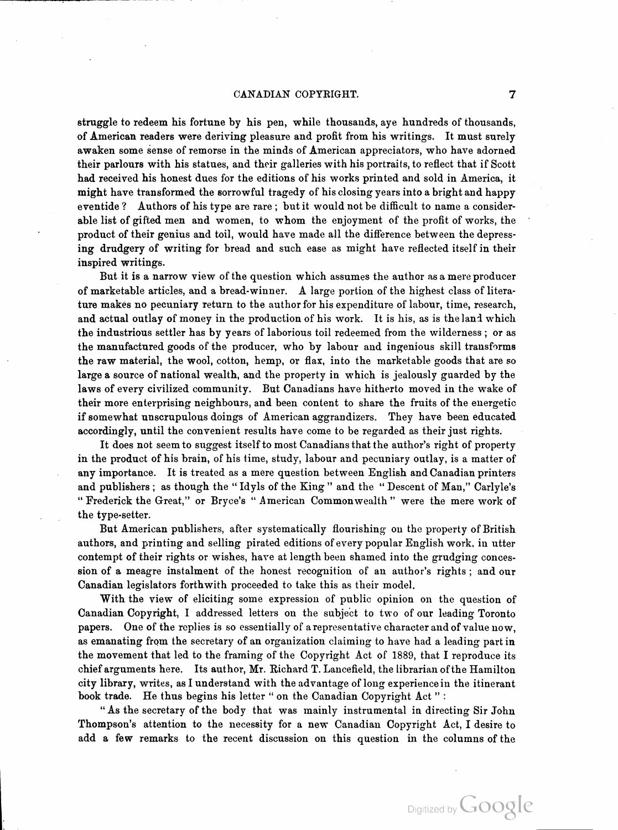struggle to redeem his fortune by his pen, while thousands, aye hundreds of thousands, of American readers were deriving pleasure and profit from his writings. It must surely awaken some sense of remorse in the minds of American appreciators, who have adorned their parlours with his statues, and their galleries with his portraits, to reflect that if Scott had received his honest dues for the editions of his works printed and sold in America, it might have transformed the sorrowful tragedy of his closing years into a bright and happy eventide ? Authors of his type are rare ; but it would not be difficult to name a consider able list of gifted men and women, to whom the enjoyment of the profit of works, the product of their genius and toil, would have made all the difference between the depressing drudgery of writing for bread and such ease as might have reflected itself in their inspired writings.

of marketable articles, and a bread-winner. A large portion of the highest class of litera-But it is a narrow view of the question which assumes the author as a mere producer ture makes no pecuniary return to the author for his expenditure of labour, time, research, and actual outlay of money in the production of his work. It is his, as is the land which the industrious settler has by years of laborious toil redeemed from the wilderness ; or as the manufactured goods of the producer, who by labour and ingenious skill transforms the raw material, the wool, cotton, hemp, or flax, into the marketable goods that are so large a source of national wealth, and the property in which is jealously guarded by the laws of every civilized community. But Canadians have hitherto moved in the wake of their more enterprising neighbours, and been content to share the fruits of the energetic if somewhat unscrupulous doings of American aggrandizers. They have been educated accordingly, until the convenient results have come to be regarded as their just rights.

It does not seem to suggest itself to most Canadians that the author's right of property in the product of his brain, of his time, study, labour and pecuniary outlay, is a matter of any importance . It is treated as a mere question between English and Canadian printers and publishers ; as though the "Idyls of the King " and the "Descent of Man," Carlyle's " Frederick the Great," or Bryce's " American Commonwealth " were the mere work of ) the type-setter.

But American publishers, after systematically flourishing on the property of British authors, and printing and selling pirated editions of every popular English work, in utter contempt of their rights or wishes, have at length been shamed into the grudging conces sion of a meagre instalment of the honest recognition of an author's rights ; and our Canadian legislators forthwith proceeded to take this as their model.

With the view of eliciting some expression of public opinion on the question of Canadian Copyright, <sup>I</sup> addressed letters on the subject to two of our leading Toronto papers. One of the replies is so essentially of <sup>a</sup> representative character and of value now, as emanating from the secretary of an organization claiming to have had a leading part in a the movement that led to the framing of the Copyright Act of 1889 , that <sup>I</sup> reproduce its chief arguments here. Its author, Mr. Richard T. Lancefield, the librarian of the Hamilton city library, writes , as <sup>I</sup> understand with the advantage of long experience in the itinerant book trade. He thus begins his letter "on the Canadian Copyright Act":

As the secretary of the body that was mainly instrumental in directing Sir John 66Thompson's attention to the necessity for a new Canadian Copyright Act, <sup>I</sup> desire to add a few remarks to the recent discussion on this question in the columns of the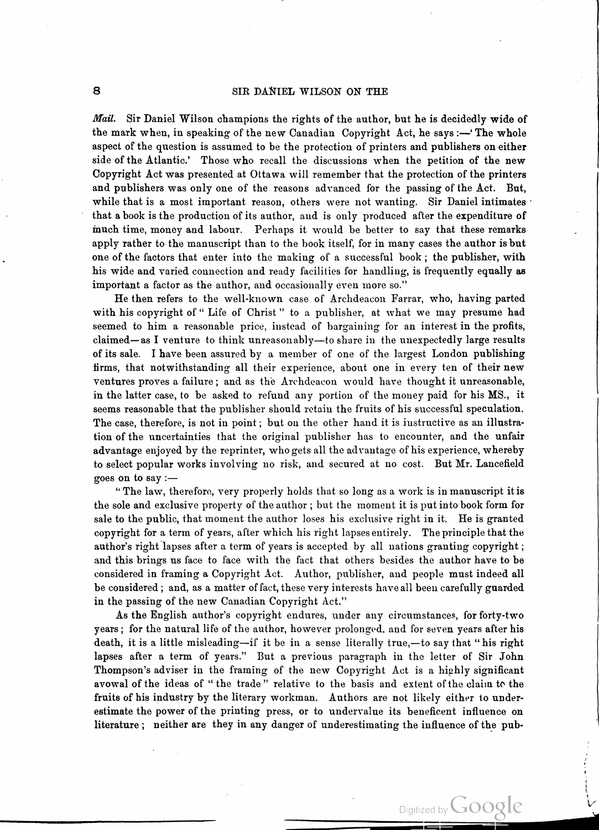Mail. Sir Daniel Wilson champions the rights of the author, but he is decidedly wide of the mark when, in speaking of the new Canadian Copyright Act, he says :— The whole aspect of the question is assumed to be the protection of printers and publishers on either side of the Atlantic.' Those who recall the discussions when the petition of the new Copyright Act was presented at Ottawa will remember that the protection of the printers and publishers was only one of the reasons advanced for the passing of the Act. But, while that is a most important reason, others were not wanting. Sir Daniel intimates that a book is the production of its author, and is only produced after the expenditure of much time, money and labour. Perhaps it would be better to say that these remarks apply rather to the manuscript than to the book itself, for in many cases the author is but one of the factors that enter into the making of a successful book ; the publisher, with his wide and varied connection and ready facilities for handling, is frequently equally as important a factor as the author, and occasionally even more so."

He then refers to the well- known case of Archdeacon Farrar, who, having parted with his copyright of "Life of Christ" to a publisher, at what we may presume had seemed to him a reasonable price, instead of bargaining for an interest in the profits, claimed—as I venture to think unreasonably—to share in the unexpectedly large results of its sale. <sup>I</sup> have been assured by a member of one of the largest London publishing firms, that notwithstanding all their experience, about one in every ten of their new ventures proves a failure ; and as the Archdeacon would have thought it unreasonable, in the latter case, to be asked to refund any portion of the money paid for his MS., it seems reasonable that the publisher should retain the fruits of his successful speculation. The case, therefore, is not in point; but on the other hand it is instructive as an illustration of the uncertainties that the original publisher has to encounter, and the unfair advantage enjoyed by the reprinter, who gets all the advantage of his experience, whereby to select popular works involving no risk, and secured at no cost . But Mr. Lancefield goes on to say :-

" The law, therefore, very properly holds that so long as a work is in manuscript it is the sole and exclusive property of the author ; but the moment it is put into book form for sale to the public, that moment the author loses his exclusive right in it. He is granted copyright for a term of years, after which his right lapses entirely. The principle that the 2 author's right lapses after a term of years is accepted by all nations granting copyright ; and this brings us face to face with the fact that others besides the author have to be considered in framing a Copyright Act. Author, publisher, and people must indeed all be considered ; and, as a matter of fact, these very interests have all been carefully guarded in the passing of the new Canadian Copyright Act."

As the English author's copyright endures, under any circumstances, for forty-two years ; for the natural life of the author, however prolonged, and for seven years after his death, it is a little misleading-if it be in a sense literally true,-to say that " his right  $\frac{1}{2}$ lapses after a term of years." But a previous paragraph in the letter of Sir John Thompson's adviser in the framing of the new Copyright Act is <sup>a</sup> highly significant avowal of the ideas of " the trade " relative to the basis and extent ofthe clairn to the fruits of his industry by the literary workman. Authors are not likely either to under estimate the power of the printing press, or to undervalue its beneficent influence on literature ; neither are they in any danger of underestimating the influence of the pub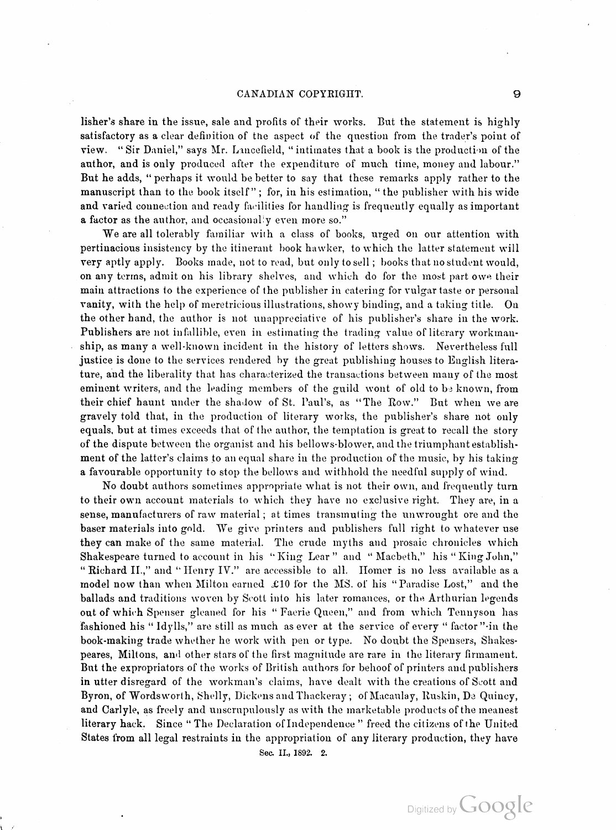a factor as the author, and occasionally even more so." lisher's share in the issue, sale and profits of their works. But the statement is highly satisfactory as a clear definition of the aspect of the question from the trader's point of view . " Sir Daniel, " says Mr. Lancefield, " intimates that a book is the production of the author, and is only produced after the expenditure of much time, money and labour." But he adds, " perhaps it would be better to say that these remarks apply rather to the manuscript than to the book itself"; for, in his estimation, "the publisher with his wide and varied connection and ready facilities for handling is frequently equally as important

We are all tolerably familiar with <sup>a</sup> class of books, urged on our attention with pertinacious insistency by the itinerant book hawker, to which the latter statement will very aptly apply. Books made, not to read, but only to sell; books that no student would, on any terms, admit on his library shelves, and which do for the most part owe their main attractions to the experience of the publisher in catering for vulgar taste or personal vanity, with the help of meretricious illustrations, showy binding, and a taking title . On the other hand, the author is not unappreciative of his publisher's share in the work. Publishers are not infallible, even in estimating the trading value of literary workmanship, as many <sup>a</sup> well-known incident in the history of letters shows. Nevertheless full justice is done to the services rendered by the great publishing houses to English litera ture, and the liberality that has characterized the transactions between many of the most eminent writers, and the leading members of the guild wont of old to be known, from their chief haunt under the shadow of St. Paul's, as "The Row." But when we are gravely told that, in the production of literary works, the publisher's share not only equals, but at times exceeds that of the author, the temptation is great to recall the story of the dispute between the organist and hi ment of the latter's claims to an equal share in the production of the music, by his taking <sup>a</sup> favourable opportunity to stop the bellows and withhold the needful supply of wind.

No doubt authors sometimes appropriate what is not their own, and frequently turn to their own account materials to which they have no exclusive right. They are, in <sup>a</sup> sense, manufacturers of raw material ; at times transmuting the unwrought ore and the baser materials into gold. We give printers and publishers full right to whatever use they can make of the same material. The crude myths and prosaic chronicles which Shakespeare turned to account in his "King Lear" and "Macbeth," his "King John," "Richard II.," and "Henry IV." are accessible to all. Homer is no less available as a model now than when Milton earned  $\pounds 10$  for the MS. of his "Paradise Lost," and the ballads and traditions woven by Scott into his later romances, or the Arthurian legends out of which Spenser gleaned for his " Faerie Queen," and from which Tennyson has fashioned his "Idylls," are still as much as ever at the service of every "factor" in the book -making trade whether he work with pen or type. No doubt the Spensers, Shakes peares, Miltons, and other stars of the first magnitude are rare in the literary firmament. But the expropriators of the works of British authors for behoof of printers and publishers in utter disregard of the workman's claims, have dealt with the creations of Scott and Byron, of Wordsworth, Shelly, Dickens and Thackeray ; of Macaulay, Ruskin, De Quincy, and Carlyle, as freely and unscrupulously as with the marketable products of the meanest literary hack. Since " The Declaration of Independence " freed the citizens of the United States from all legal restraints in the appropriation of any literary production, they have

Sec. II., 1892. 2.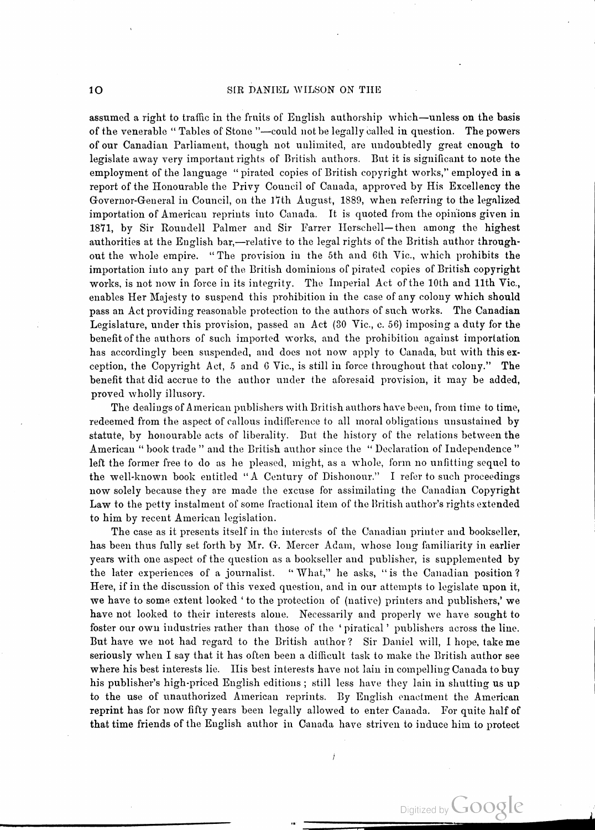assumed a right to traffic in the fruits of English authorship which—unless on the basis of the venerable "Tables of Stone "-could not be legally called in question. The powers of our Canadian Parliament, though not unlimited, are undoubtedly great enough to legislate away very important rights of British authors. But it is significant to note the employment of the language "pirated copies of British copyright works," employed in a report of the Honourable the Privy Council of Canada, approved by His Excellency the Governor-General in Council, on the 17th August, 1889, when referring to the legalized importation of American reprints into Canada. It is quoted from the opinions given in 1871, by Sir Roundell Palmer and Sir Farrer Herschell-then among the highest authorities at the English bar,—relative to the legal rights of the British author throughout the whole empire . " The provision in the 5th and 6th Vic. , which prohibits the importation into any part of the British dominions of pirated copies of British copyright works, is not now in force in its integrity. The Imperial Act of the 10th and 11th Vic., enables Her Majesty to suspend this prohibition in the case of any colony which should pass an Act providing reasonable protection to the authors of such works. The Canadian Legislature, under this provision, passed an Act  $(30 \text{ Vic.}, c. 56)$  imposing a duty for the benefit of the authors of such imported works, and the prohibition against importation has accordingly been suspended, and does not now apply to Canada, but with this exception, the Copyright Act, 5 and 6 Vic., is still in force throughout that colony." The benefit that did accrue to the author under the aforesaid provision, it may be added, proved wholly illusory.

The dealings of American publishers with British authors have been, from time to time, redeemed from the aspect of callous indifference to all moral obligations unsustained by statute, by honourable acts of liberality. But the history of the relations between the American " book trade " and the British author since the " Declaration of Independence" left the former free to do as he pleased, might, as a whole, form no unfitting sequel to the well-known book entitled "A Century of Dishonour." I refer to such proceedings now solely because they are made the excuse for assimilating the Canadian Copyright Law to the petty instalment of some fractional item of the British author's rights extended to him by recent American legislation.

The case as it presents itself in the interests of the Canadian printer and bookseller, has been thus fully set forth by Mr. G. Mercer Adam, whose long familiarity in earlier years with one aspect of the question as a bookseller and publisher, is supplemented by the later experiences of a journalist. "What," he asks, "is the Canadian position? Here, if in the discussion of this vexed question, and in our attempts to legislate upon it, we have to some extent looked ' to the protection of (native) printers and publishers,' we have not looked to their interests alone. Necessarily and properly we have sought to foster our own industries rather than those of the 'piratical' publishers across the line. But have we not had regard to the British author? Sir Daniel will, I hope, take me seriously when <sup>I</sup> say that it has often been <sup>a</sup> difficult task to make the British author see where his best interests lie. Ilis best interests have not lain in compelling Canada to buy his publisher's high-priced English editions; still less have they lain in shutting us up to the use of unauthorized American reprints. By English enactment the American reprint has for now fifty years been legally allowed to enter Canada. For quite half of that time friends of the English author in Canada have striven to induce him to protect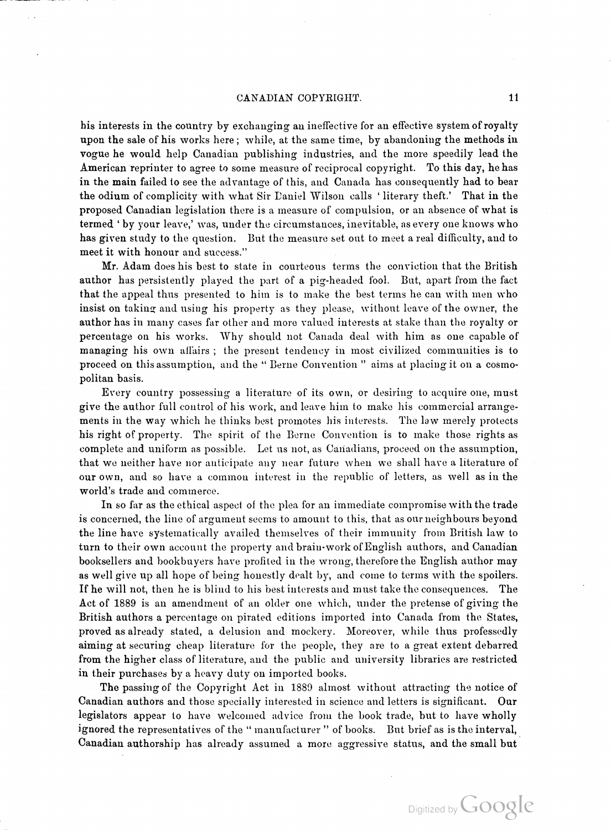has given study to the question. But the measure set out to meet a real difficulty, and to his interests in the country by exchanging an ineffective for an effective system of royalty upon the sale of his works here ; while, at the same time, by abandoning the methods in vogue he would help Canadian publishing industries, and the more speedily lead the American reprinter to agree to some measure of reciprocal copyright. To this day, he has in the main failed to see the advantage of this, and Canada has consequently had to bear the odium of complicity with what Sir Daniel Wilson calls 'literary theft.' That in the proposed Canadian legislation there is a measure of compulsion , or an absence of what is termed 'by your leave,' was, under the circumstances, inevitable, as every one knows who meet it with honour and success."

Mr. Adam does his best to state in courteous terms the conviction that the British author has persistently played the part of a pig -headed fool . But, apart from the fact that the appeal thus presented to him is to make the best terms he can with men who insist on taking and using his property as they please, without leave of the owner, the author has in many cases far other and more valued interests at stake than the royalty or percentage on his works. Why should not Canada deal with him as one capable of managing his own affairs ; the present tendency in most civilized communities is to proceed on this assumption, and the " Berne Convention " aims at placing it on a cosmo politan basis.

Every country possessing <sup>a</sup> literature of its own, or desiring to acquire one, must give the author full control of his work, and leave him to make his commercial arrange ments in the way which he thinks best promotes his interests. The law merely protects his right of property. The spirit of the Berne Convention is to make those rights as complete and uniform as possible. Let us not, as Cariadians, proceed on the assumption, that we neither have nor anticipate any near future when we shall have <sup>a</sup> literature of our own, and so have <sup>a</sup> common interest in the republic of letters, as well as in the world's trade and commerce .

In so far as the ethical aspect of the plea for an immediate compromise with the trade is concerned, the line of argument seems to amount to this, that as our neighbours beyond the line have systematically availed themselves of their immunity from British law to turn to their own account the property and brain-work of English authors, and Canadian booksellers and bookbuyers have profited in the wrong, therefore the English author may as well give up all hope of being honestly dealt by, and come to terms with the spoilers . If he will not, then he is blind to his best interests and must take the consequences. The Act of 1889 is an amendment of an older one which, under the pretense of giving the British authors a percentage on pirated editions imported into Canada from the States, proved as already stated, a delusion and mockery. Moreover, while thus professedly aiming at securing cheap literature for the people, they are to a great extent debarred from the higher class of literature, and the public and university libraries are restricted in their purchases by a heavy duty on imported books.

The passing of the Copyright Act in 1889 almost without attracting the notice of Canadian authors and those specially interested in science and letters is significant. Our legislators appear to have welcomed advice from the book trade, but to have wholly ignored the representatives of the "manufacturer" of books. But brief as is the interval, Canadian authorship has already assumed a more aggressive status, and the small but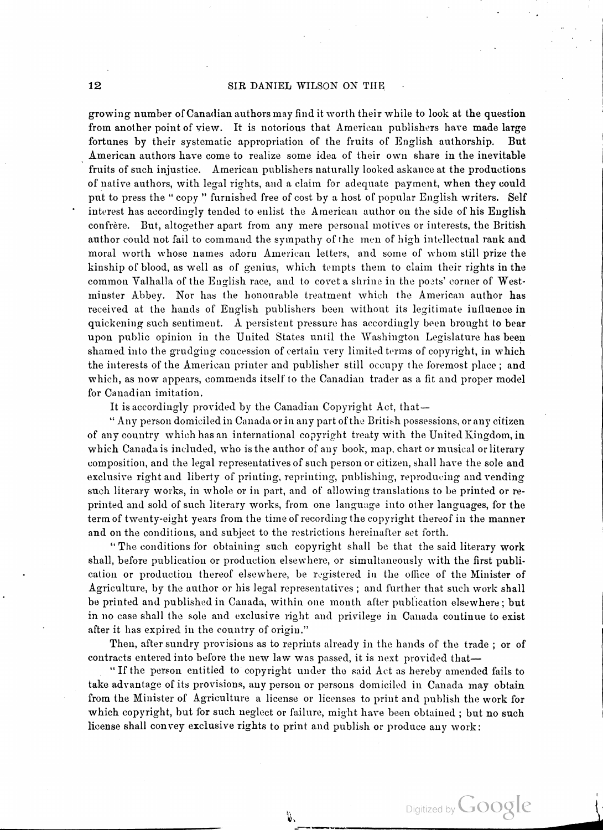common Valhalla of the English race, and to covet a shrine in the poets' corne<mark>r of West-</mark> growing number of Canadian authors may find it worth their while to look at the question from another point of view. It is notorious that American publishers have made large fortunes by their systematic appropriation of the fruits of English authorship. But American authors have come to realize some idea of their own share in the inevitable fruits of such injustice. American publishers naturally looked askance at the productions of native authors, with legal rights, and <sup>a</sup> claim for adequate payment, when they could put to press the " copy " furnished free of cost by a host of popular English writers. Self interest has accordingly tended to enlist the American author on the side of his English confrère. But, altogether apart from any mere personal motives or interests, the British author could not fail to command the sympathy of the men of high intellectual rank and moral worth whose names adorn American letters, and some of whom still prize the kinship of blood, as well as of genius, which tempts them to claim their rights in the minster Abbey. Nor has the honourable treatment which the American author has received at the hands of English publishers been without its legitimate influence in quickening such sentiment. A persistent pressure has accordingly been brought to bear upon public opinion in the United States until the Washington Legislature has been shamed into the grudging concession of certain very limited terms of copyright, in which the interests of the American printer and publisher still occupy the foremost place ; and which, as now appears, commends itself to the Canadian trader as a fit and proper model for Canadian imitation.

It is accordingly provided by the Canadian Copyright Act, that-

66 Any person domiciled in Canada or in any part of the British possessions, or any citizen of any country which has an international copyright treaty with the United Kingdom , in which Canada is included, who is the author of any book, map, chart or musical or literary composition, and the legal representatives of such person or citizen, shall have the sole and exclusive right and liberty of printing, reprinting, publishing, reproducing and vending such literary works, in whole or in part, and of allowing translations to be printed or re printed and sold of such literary works, from one language into other languages, for the term of twenty-eight years from the time of recording the copyright thereof in the manner and on the conditions, and subject to the restrictions hereinafter set forth.

" The conditions for obtaining such copyright shall be that the said literary work shall, before publication or production elsewhere, or simultaneously with the first publi cation or production thereof elsewhere, be registered in the office of the Minister of Agriculture, by the author or his legal representatives ; and further that such work shall be printed and published in Canada, within one month after publication elsewhere ; but in no case shall the sole and exclusive right and privilege in Canada continue to exist after it has expired in the country of origin."

Then, after sundry provisions as to reprints already in the hands of the trade ; or of contracts entered into before the new law was passed, it is next provided that

" If the person entitled to copyright under the said Act as hereby amended fails to take advantage of its provisions, any person or persons domiciled in Canada may obtain from the Minister of Agriculture <sup>a</sup> license or licenses to print and publish the work for which copyright, but for such neglect or failure, might have been obtained; but no such license shall convey exclusive rights to print and publish or produce any work:

ĥ,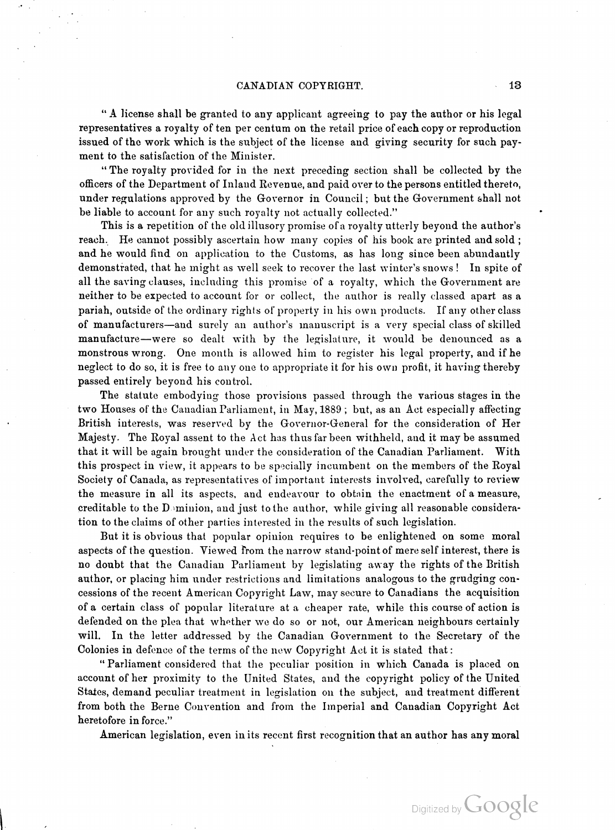" A license shall be granted to any applicant agreeing to pay the author or his legal representatives a royalty of ten per centum on the retail price of each copy or reproduction issued of the work which is the subject of the license and giving security for such pay ment to the satisfaction of the Minister.

" The royalty provided for in the next preceding section shall be collected by the officers of the Department of Inland Revenue, and paid over to the persons entitled thereto, under regulations approved by the Governor in Council; but the Government shall not be liable to account for any such royalty not actually collected."

This is a repetition of the old illusory promise of a royalty utterly beyond the author's reach. He cannot possibly ascertain how many copies of his book are printed and sold; and he would find on application to the Customs, as has long since been abundantly demonstrated, that he might as well seek to recover the last winter's snows ! In spite of all the saving clauses, including this promise of a royalty, which the Government are neither to be expected to account for or collect, the author is really classed apart as a pariah, outside of the ordinary rights of property in his own products. If any other class of manufacturers — and surely an author's inanuscript is a very special class of skilled manufacture-were so dealt with by the legislature, it would be denounced as a monstrous wrong. One month is allowed him to register his legal property, and if he neglect to do so, it is free to any one to appropriate it for his own profit, it having thereby passed entirely beyond his control.

The statute embodying those provisions passed through the various stages in the two Houses of the Canadian Parliament, in May, 1889 ; but, as an Act especially affecting British interests, was reserved by the Governor-General for the consideration of Her Majesty. The Royal assent to the Act has thus far been withheld, and it may be assumed that it will be again brought under the consideration of the Canadian Parliament. With this prospect in view, it appears to be specially incumbent on the members of the Royal Society of Canada, as representatives of important interests involved, carefully to review the measure in all its aspects, and endeavour to obtain the enactment of a measure, creditable to the D minion, and just to the author, while giving all reasonable consideration to the claims of other parties interested in the results of such legislation .

But it is obvious that popular opinion requires to be enlightened on some moral aspects of the question. Viewed from the narrow stand-point of mere self interest, there is no doubt that the Canadian Parliament by legislating away the rights of the British author, or placing him under restrictions and limitations analogous to the grudging con cessions of the recent American Copyright Law, may secure to Canadians the acquisition of a certain class of popular literature at a cheaper rate, while this course of action is defended on the plea that whether we do so or not, our American neighbours certainly will. In the letter addressed by the Canadian Government to the Secretary of the Colonies in defence of the terms of the new Copyright Act it is stated that :

Parliament considered that the peculiar position in which Canada is placed on account of her proximity to the United States, and the copyright policy of the United States, demand peculiar treatment in legislation on the subject, and treatment different from both the Berne Convention and from the Imperial and Canadian Copyright Act heretofore in force."

American legislation, even in its recent first recognition that an author has any moral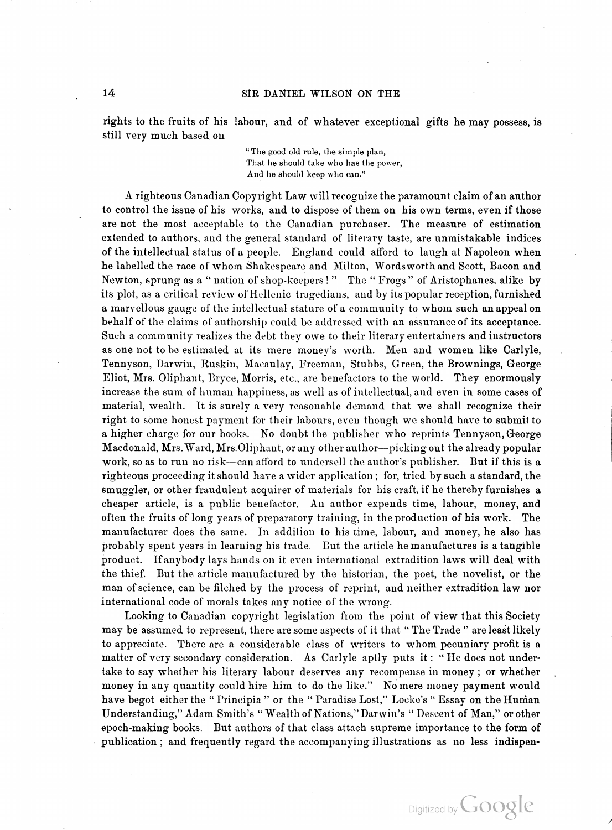rights to the fruits of his labour, and of whatever exceptional gifts he may possess, is still very much based on

" The good old rule, the simple plan, That he should take who has the power, And he should keep who can."

Such a community realizes the debt they owe to their literary entertainers and instructors  $\,$ right to some honest payment for their labours, even though we should have to submit to A righteous Canadian Copyright Law will recognize the paramount claim of an author to control the issue of his works, and to dispose of them on his own terms, even if those are not the most acceptable to the Canadian purchaser. The measure of estimation extended to authors, and the general standard of literary taste, are unmistakable indices of the intellectual status of a people. England could afford to laugh at Napoleon when he labelled the race of whom Shakespeare and Milton, Wordsworth and Scott, Bacon and Newton, sprung as a " nation of shop-keepers!" The " Frogs" of Aristophanes, alike by its plot, as a critical review of Hellenic tragedians, and by its popular reception, furnished <sup>a</sup> marvellous gauge of the intellectual stature of <sup>a</sup> community to whom such an appeal on behalf of the claims of authorship could be addressed with an assurance of its acceptance. as one not to be estimated at its mere money's worth. Men and women like Carlyle, Tennyson, Darwin, Ruskin, Macaulay, Freeman, Stubbs, Green, the Brownings, George Eliot, Mrs. Oliphant, Bryce, Morris, etc. , are benefactors to the world. They enormously increase the sum of human happiness, as well as of intellectual , and even in some cases of material, wealth. It is surely a very reasonable demand that we shall recognize their <sup>a</sup> higher charge for our books. No doubt the publisher who reprints Tennyson, George Macdonald, Mrs. Ward, Mrs. Oliphant, or any other author—picking out the already popular work, so as to run no risk—can afford to undersell the author's publisher. But if this is a righteous proceeding it should have a wider application ; for, tried by such a standard, the smuggler, or other fraudulent acquirer of materials for his craft, if he thereby furnishes a cheaper article, is <sup>a</sup> public benefactor. An author expends time, labour, money, and often the fruits of long years of preparatory training, in the production of his work. The manufacturer does the same. In addition to his time, labour, and money, he also has probably spent years in learning his trade. But the article he manufactures is a tangible product . If anybody lays hands on it even international extradition laws will deal with the thief. But the article manufactured by the historian , the poet, the novelist, or the man of science, can be filched by the process of reprint, and neither extradition law nor international code of morals takes any notice of the wrong.

Looking to Canadian copyright legislation from the point of view that this Society may be assumed to represent, there are some aspects of it that " The Trade " are least likely to appreciate. There are a considerable class of writers to whom pecuniary profit is a matter of very secondary consideration. As Carlyle aptly puts it: "He does not undertake to say whether his literary labour deserves any recompense in money ; or whether money in any quantity could hire him to do the like." No mere money payment would have begot either the "Principia " or the "Paradise Lost," Locke's "Essay on the Human Understanding," Adam Smith's " Wealth of Nations, " Darwin's " Descent of Man," or other >epoch- making books. But authors of that class attach supreme importance to the form of publication ; and frequently regard the accompanying illustrations as no less indispen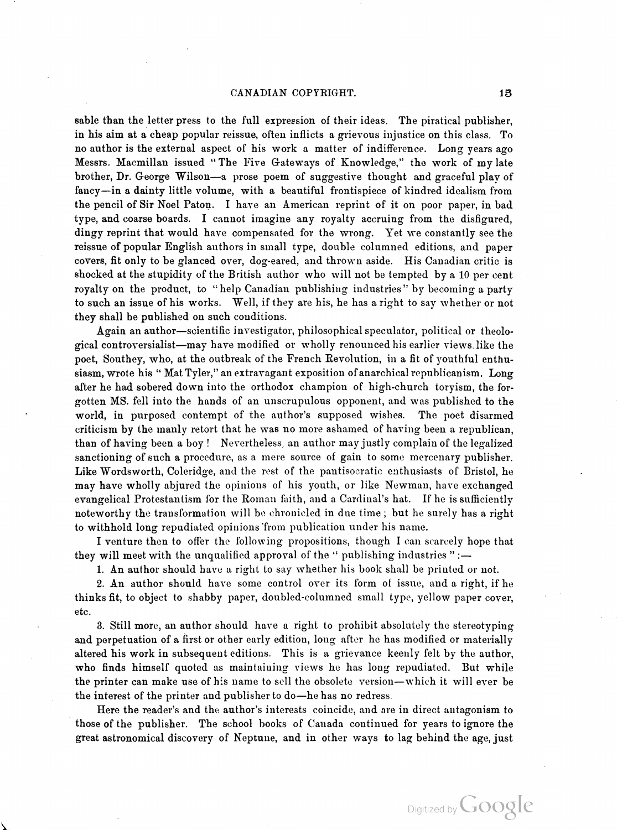sable than the letter press to the full expression of their ideas. The piratical publisher, in his aim at a cheap popular reissue, often inflicts a grievous injustice on this class. To no author is the external aspect of his work <sup>a</sup> matter of indifference. Long years ago Messrs. Macmillan issued " The Five Gateways of Knowledge, " the work of my late brother, Dr. George Wilson-a prose poem of suggestive thought and graceful play of fancy—in a dainty little volume, with a beautiful frontispiece of kindred idealism from the pencil of Sir Noel Paton. I have an American reprint of it on poor paper, in bad type, and coarse boards. <sup>I</sup> cannot imagine any royalty accruing from the disfigured, dingy reprint that would have compensated for the wrong. Yet we constantly see the reissue of popular English authors in small type, double columned editions, and paper covers, fit only to be glanced over, dog- eared, and thrown aside . His Canadian critic is shocked at the stupidity of the British author who will not be tempted by <sup>a</sup> 10 per cent royalty on the product, to "help Canadian publishing industries" by becoming a party to such an issue of his works. Well, if they are his , he has a right to say whether or not they shall be published on such conditions.

siasm, wrote his " Mat Tyler," an extravagant exposition of anarchical republicanism. Long Again an author-scientific investigator, philosophical speculator, political or theological controversialist-may have modified or wholly renounced his earlier views . like the poet, Southey, who, at the outbreak of the French Revolution, in a fit of youthful enthu after he had sobered down into the orthodox champion of high-church toryism, the forgotten MS. fell into the hands of an unscrupulous opponent, and was published to the world, in purposed contempt of the author's supposed wishes. The poet disarmed criticism by the manly retort that he was no more ashamed of having been a republican , than of having been <sup>a</sup> boy ! Nevertheless, an author may justly complain of the legalized sanctioning of such a procedure, as a mere source of gain to some mercenary publisher. Like Wordsworth, Coleridge, and the rest of the pantisocratic enthusiasts of Bristol, he may have wholly abjured the opinions of his youth , or like Newman, have exchanged evangelical Protestantism for the Roman faith, and a Cardinal's hat. If he is sufficiently noteworthy the transformation will be chronicled in due time ; but he surely has a right to withhold long repudiated opinions from publication under his name.

<sup>I</sup> venture then to offer the following propositions , though <sup>I</sup> can scarcely hope that they will meet with the unqualified approval of the " publishing industries " :-

1. An author should have a right to say whether his book shall be printed or not .

2. An author should have some control over its form of issue, and a right, if he thinks fit, to object to shabby paper, doubled- columned small type, yellow paper cover, etc.

3. Still more, an author should have a right to prohibit absolutely the stereotyping and perpetuation of a first or other early edition, long after he has modified or materially aaltered his work in subsequent editions. This is a grievance keenly felt by the author, who finds himself quoted as maintaining views he has long repudiated. But while the printer can make use of his name to sell the obsolete version—which it will ever be the interest of the printer and publisher to do—he has no redress.

Here the reader's and the author's interests coincide, and are in direct antagonism to those of the publisher. The school books of Canada continued for years to ignore the great astronomical discovery of Neptune, and in other ways to lag behind the age, just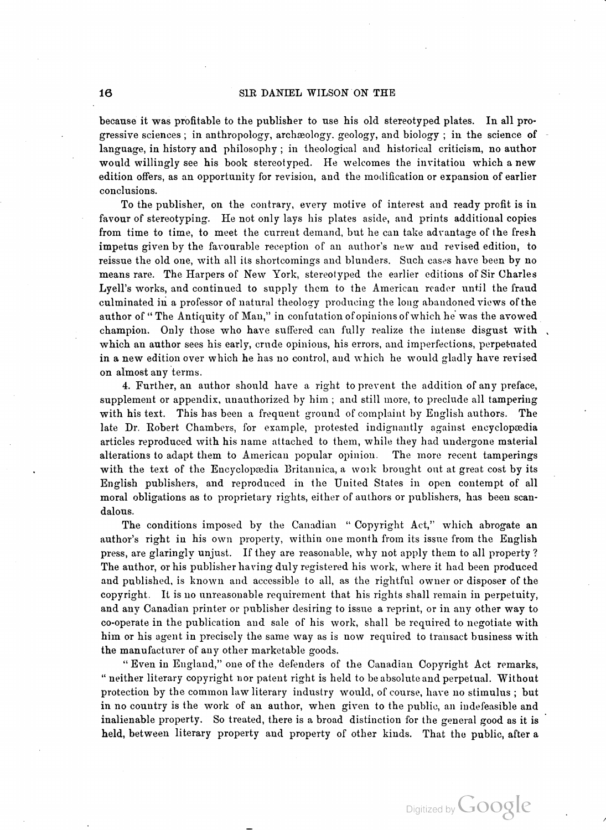because it was profitable to the publisher to use his old stereotyped plates. In all progressive sciences; in anthropology, archæology, geology, and biology; in the science of language, in history and philosophy ; in theological and historical criticism, no author would willingly see his book stereotyped. He welcomes the invitation which a new edition offers, as an opportunity for revision, and the modification or expansion of earlier conclusions.

To the publisher, on the contrary, every motive of interest and ready profit is in favour of stereotyping. He not only lays his plates aside, and prints additional copies from time to time, to meet the current demand, but he can take adrantage of the fresh impetus given by the favourable reception of an author's new and revised edition, to reissue the old one, with all its shortcomings and blunders. Such cases have been by no means rare. The Harpers of New York, stereotyped the earlier editions of Sir Charles Lyell's works, and continued to supply them to the American reader until the fraud culminated in a professor of natural theology producing the long abandoned views of the author of "The Antiquity of Man," in confutation of opinions of which he was the avowed champion. Only those who have suffered can fully realize the intense disgust with which an author sees his early, crude opinions, his errors, and imperfections, perpetuated in a new edition over which he has no control, and which he would gladly have revised on almost any terms.

4. Further, an author should have a right to prevent the addition of any preface, supplement or appendix, unauthorized by him ; and still more, to preclude all tampering with his text. This has been a frequent ground of complaint by English authors. The late Dr. Robert Chambers, for example, protested indignantly against encyclopædia articles reproduced with his name attached to them, while they had undergone material<br>alterations to adapt them to American popular opinion. The more recent tamperings alterations to adapt them to American popular opinion. with the text of the Encyclopædia Britannica, a work brought out at great cost by its English publishers, and reproduced in the United States in open contempt of all moral obligations as to proprietary rights, either of authors or publishers, has been scan dalous.

The conditions imposed by the Canadian "Copyright Act," which abrogate an author's right in his own property, within one month from its issue from the English press , are glaringly unjust. If they are reasonable, why not apply them to all property ? The author, or his publisher having duly registered his work, where it had been produced and published, is known and accessible to all, as the rightful owner or disposer of the copyright. It is no unreasonable requirement that his rights shall remain in perpetuity, and any Canadian printer or publisher desiring to issue <sup>a</sup> reprint, or in any other way to co- operate in the publication and sale of his work, shall be required to negotiate with him or his agent in precisely the same way as is now required to transact business with the manufacturer of any other marketable goods.

" Even in England," one of the defenders of the Canadian Copyright Act remarks, " neither literary copyright nor patent right is held to be absolute and perpetual. Without protection by the common law literary industry would, of course, have no stimulus; but in no country is the work of an author, when given to the public, an indefeasible and inalienable property. So treated, there is a broad distinction for the general good as it is held, between literary property and property of other kinds. That the public, after a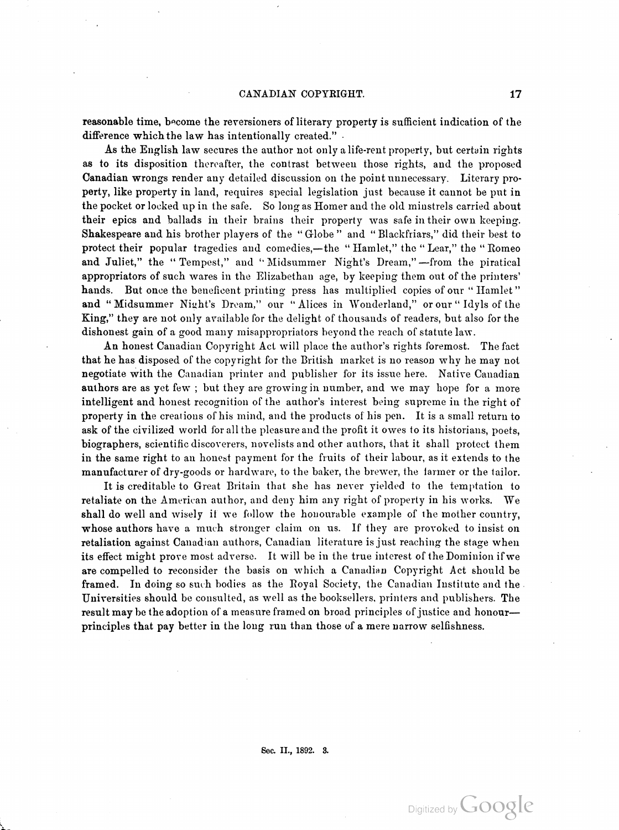reasonable time, become the reversioners of literary property is sufficient indication of the difference which the law has intentionally created."

> Shakespeare and his brother players of the "Globe " and " Blackfriars,"" did their best to and "Midsummer Night's Dream," our "Alices in Wonderland," or our "Idyls of the As the English law secures the author not only a life-rent property, but certain rights as to its disposition thereafter, the contrast between those rights, and the proposed Canadian wrongs render any detailed discussion on the point unnecessary. Literary pro perty, like property in land, requires special legislation just because it cannot be put in the pocket or locked up in the safe. So long as Homer and the old minstrels carried about their epics and ballads in their brains their property was safe in their own keeping. protect their popular tragedies and comedies, —the " Hamlet," the " Lear," the " Romeo and Juliet," the "Tempest," and "Midsummer Night's Dream,"—from the piratical appropriators of such wares in the Elizabethan age, by keeping them out of the printers' hands. But once the beneficent printing press has multiplied copies of our "Hamlet" King," they are not only available for the delight of thousands of readers, but also for the dishonest gain of a good many misappropriators beyond the reach of statute law .

An honest Canadian Copyright Act will place the author's rights foremost. The fact that he has disposed of the copyright for the British market is no reason why he may not negotiate with the Canadian printer and publisher for its issue here. Native Canadian authors are as yet few ; but they are growing in pumber, and we may hope for <sup>a</sup> more intelligent and honest recognition of the author's interest being supreme in the right of property in the creations of his mind, and the products of his pen. It is a small return to ask of the civilized world for all the pleasure and the profit it owes to its historians, poets, biographers, scientific discoverers, novelists and other authors, that it shall protect them in the same right to an honest payment for the fruits of their labour, as it extends to the manufacturer of dry -goods or hardware, to the baker, the brewer, the farmer or the tailor .

It is creditable to Great Britain that she has never yielded to the temptation to retaliate on the American author, and deny him any right of property in his works. We shall do well and wisely if we follow the honourable example of the mother country, whose authors have a much stronger claim on us. If they are provoked to insist on retaliation against Canadian authors, Canadian literature is just reaching the stage when its effect might prore most adverse. It will be in the true interest of the Dominion if we are compelled to reconsider the basis on which a Canadian Copyright Act should be framed. In doing so such bodies as the Royal Society, the Canadian Institute and the Universities should be consulted, as well as the booksellers, printers and publishers. The result may be the adoption of a measure framed on broad principles of justice and honour principles that pay better in the long run than those of a mere narrow selfishness.